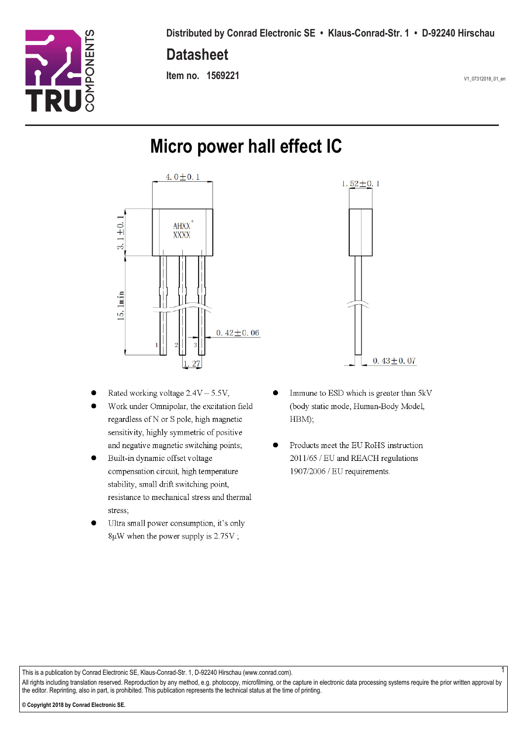

### **Datasheet**

**Item no. 1569221** V1\_07312018\_01\_en

1

# **Micro power hall effect IC**



- Rated working voltage  $2.4V \sim 5.5V$ ,
- Work under Omnipolar, the excitation field regardless of N or S pole, high magnetic sensitivity, highly symmetric of positive and negative magnetic switching points,
- Built-in dynamic offset voltage compensation circuit, high temperature stability, small drift switching point, resistance to mechanical stress and thermal stress;
- Ultra small power consumption, it's only 8µW when the power supply is 2.75V;



- Immune to ESD which is greater than 5kV (body static mode, Human-Body Model, HBM);
- Products meet the EU RoHS instruction 2011/65 / EU and REACH regulations 1907/2006 / EU requirements.

This is a publication by Conrad Electronic SE, Klaus-Conrad-Str. 1, D-92240 Hirschau (www.conrad.com).

All rights including translation reserved. Reproduction by any method, e.g. photocopy, microfilming, or the capture in electronic data processing systems require the prior written approval by the editor. Reprinting, also in part, is prohibited. This publication represents the technical status at the time of printing.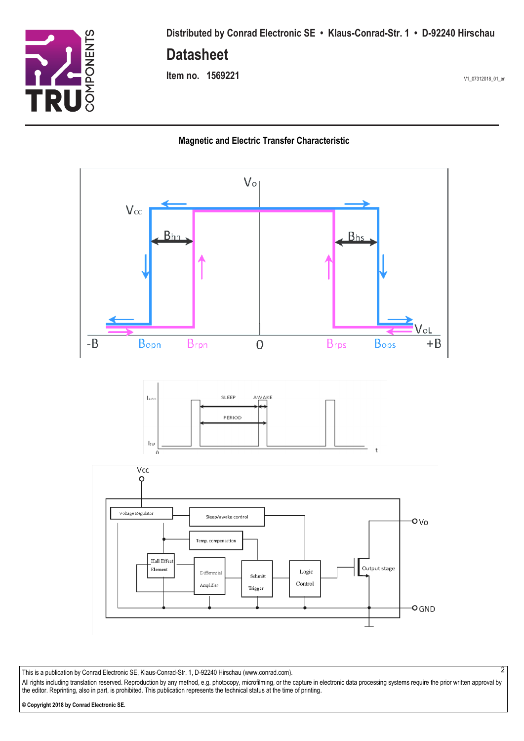

### **Datasheet**

**Item no. 1569221** V1\_07312018\_01\_en

2

#### **Magnetic and Electric Transfer Characteristic**



This is a publication by Conrad Electronic SE, Klaus-Conrad-Str. 1, D-92240 Hirschau (www.conrad.com).

All rights including translation reserved. Reproduction by any method, e.g. photocopy, microfilming, or the capture in electronic data processing systems require the prior written approval by the editor. Reprinting, also in part, is prohibited. This publication represents the technical status at the time of printing.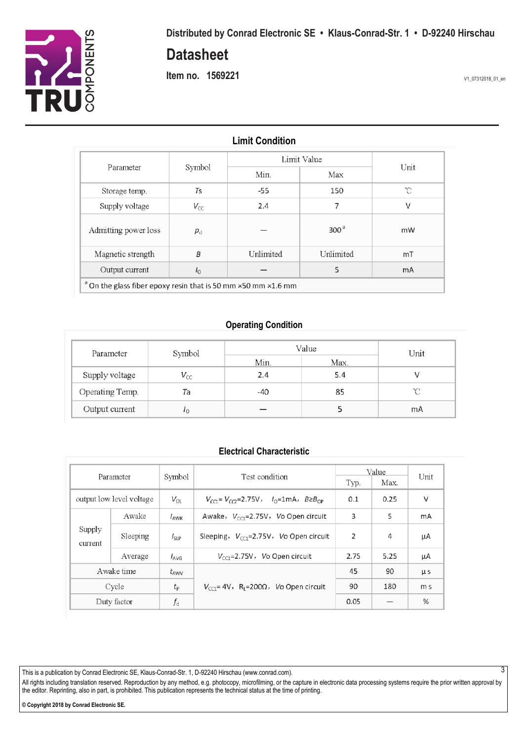

**Item no. 1569221** V1\_07312018\_01\_en

3

### **Limit Condition**

| Parameter                                                                |              | Limit Value |                  |      |  |
|--------------------------------------------------------------------------|--------------|-------------|------------------|------|--|
|                                                                          | Symbol       | Min.        | Max              | Unit |  |
| Storage temp.                                                            | Ts           | $-55$       | 150              | °C   |  |
| Supply voltage                                                           | $V_{\rm CC}$ | 2.4         | 7                | V    |  |
| Admitting power loss                                                     | $P_{\rm d}$  |             | 300 <sup>a</sup> | mW   |  |
| Magnetic strength                                                        | В            | Unlimited   | Unlimited        | mT   |  |
| Output current                                                           | $I_{\rm O}$  |             | 5                | mA   |  |
| <sup>a</sup> On the glass fiber epoxy resin that is 50 mm ×50 mm ×1.6 mm |              |             |                  |      |  |

#### **Operating Condition**

| Parameter       | Symbol       | Value |      | Unit   |  |
|-----------------|--------------|-------|------|--------|--|
|                 |              | Min.  | Max. |        |  |
| Supply voltage  | $V_{\rm CC}$ | 2.4   | 5.4  |        |  |
| Operating Temp. | Ta           | -40   | 85   | $\sim$ |  |
| Output current  | 10           |       |      | mA     |  |

#### **Electrical Characteristic**

| Symbol<br>Parameter                      |       |                  | Test condition                                                        |      | Value | Unit           |
|------------------------------------------|-------|------------------|-----------------------------------------------------------------------|------|-------|----------------|
|                                          |       |                  |                                                                       | Typ. | Max.  |                |
| output low level voltage                 |       | $V_{OL}$         | $V_{CO} = V_{CO} = 2.75V$ , $I_0 = 1 \text{ mA}$ , $B \ge B_{OP}$     | 0.1  | 0.25  | V              |
|                                          | Awake | $I_{\text{AWK}}$ | Awake, $V_{C1}$ =2.75V, Vo Open circuit                               | 3    | 5     | mA             |
| Supply<br>Sleeping<br>current<br>Average |       | $I_{SLP}$        | Sleeping, $V_{\text{CCl}}$ =2.75V, Vo Open circuit                    | 2    | 4     | μA             |
|                                          |       | $I_{\text{AVG}}$ | $V_{\text{CCl}}$ =2.75V, Vo Open circuit                              | 2.75 | 5.25  | μA             |
| A wake time<br>Cycle<br>Duty factor      |       | $t_{\text{AWV}}$ | $V_{\text{CCI}}$ = 4V, R <sub>1</sub> =200 $\Omega$ , Vo Open circuit | 45   | 90    | μs             |
|                                          |       | $t_{\mathsf{P}}$ |                                                                       | 90   | 180   | m <sub>s</sub> |
|                                          |       | $f_{\rm d}$      |                                                                       | 0.05 |       | $\frac{0}{6}$  |

This is a publication by Conrad Electronic SE, Klaus-Conrad-Str. 1, D-92240 Hirschau (www.conrad.com).

All rights including translation reserved. Reproduction by any method, e.g. photocopy, microfilming, or the capture in electronic data processing systems require the prior written approval by the editor. Reprinting, also in part, is prohibited. This publication represents the technical status at the time of printing.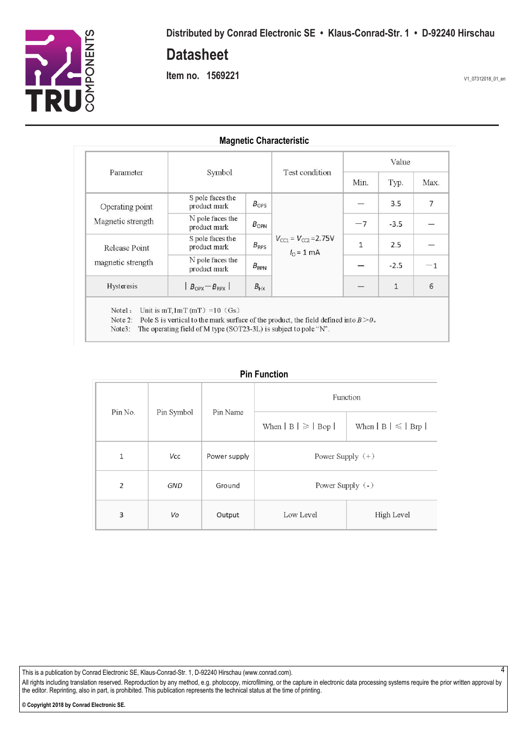

### **Datasheet**

**Item no. 1569221** V1\_07312018\_01\_en

4

#### **Magnetic Characteristic**

|                                      |                                                                                                                                                                                                     |                  |                                                                                    |      | Value        |      |
|--------------------------------------|-----------------------------------------------------------------------------------------------------------------------------------------------------------------------------------------------------|------------------|------------------------------------------------------------------------------------|------|--------------|------|
| Parameter                            | Symbol                                                                                                                                                                                              | Test condition   |                                                                                    | Min. | Typ.         | Max. |
| Operating point<br>Magnetic strength | S pole faces the<br>product mark                                                                                                                                                                    | $B_{\text{OPS}}$ | $-7$                                                                               | 3.5  | 7            |      |
|                                      | N pole faces the<br>product mark                                                                                                                                                                    | $B_{OPN}$        |                                                                                    |      | $-3.5$       |      |
| Release Point<br>magnetic strength   | S pole faces the<br>product mark                                                                                                                                                                    | $B_{RPS}$        | $V_{\text{CC1}} = V_{\text{CC2}} = 2.75 \text{V}$<br>$I_{\text{O}} = 1 \text{ mA}$ | 1    | 2.5          |      |
|                                      | N pole faces the<br>product mark                                                                                                                                                                    | $B_{RPN}$        |                                                                                    |      | $-2.5$       | $-1$ |
| Hysteresis                           | $B_{\text{OPX}} - B_{\text{RPX}}$                                                                                                                                                                   | $B_{HX}$         |                                                                                    |      | $\mathbf{1}$ | 6    |
| Notel:<br>Note 2:<br>Note3:          | Unit is mT, $1mT$ (mT) = 10 (Gs)<br>Pole S is vertical to the mark surface of the product, the field defined into $B > 0$ .<br>The operating field of M type (SOT23-3L) is subject to pole " $N$ ". |                  |                                                                                    |      |              |      |

#### **Pin Function**

| Pin No.<br>Pin Symbol |     | Pin Name     | Function              |                           |  |  |
|-----------------------|-----|--------------|-----------------------|---------------------------|--|--|
|                       |     |              | When $ B  \geq  Bop $ | When $  B   \leq   Brp  $ |  |  |
| 1                     | Vcc | Power supply | Power Supply $(+)$    |                           |  |  |
| 2                     | GND | Ground       | Power Supply $(-)$    |                           |  |  |
| 3                     | Vo  | Output       | Low Level             | High Level                |  |  |

This is a publication by Conrad Electronic SE, Klaus-Conrad-Str. 1, D-92240 Hirschau (www.conrad.com).

All rights including translation reserved. Reproduction by any method, e.g. photocopy, microfilming, or the capture in electronic data processing systems require the prior written approval by the editor. Reprinting, also in part, is prohibited. This publication represents the technical status at the time of printing.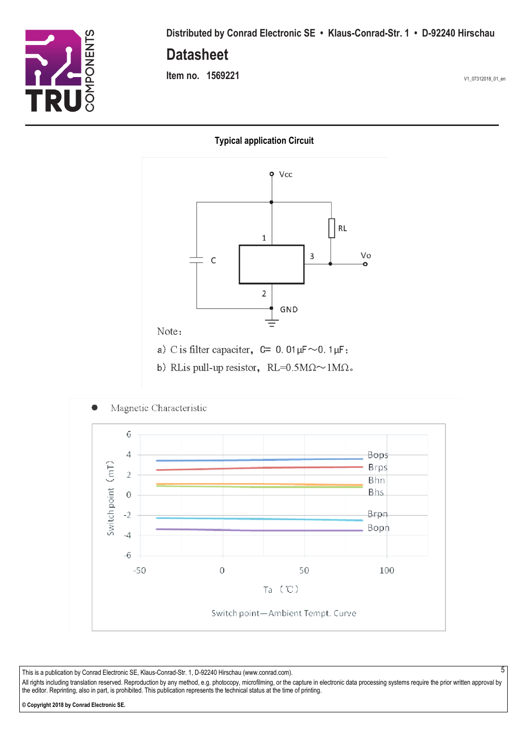

## **Datasheet**

**Item no. 1569221** V1\_07312018\_01\_en

5

**Typical application Circuit**



- a) C is filter capaciter,  $C = 0.01 \mu F \sim 0.1 \mu F$ ;
- b) RLis pull-up resistor, RL=0.5M $\Omega \sim 1 M \Omega$ .



This is a publication by Conrad Electronic SE, Klaus-Conrad-Str. 1, D-92240 Hirschau (www.conrad.com).

All rights including translation reserved. Reproduction by any method, e.g. photocopy, microfilming, or the capture in electronic data processing systems require the prior written approval by the editor. Reprinting, also in part, is prohibited. This publication represents the technical status at the time of printing.